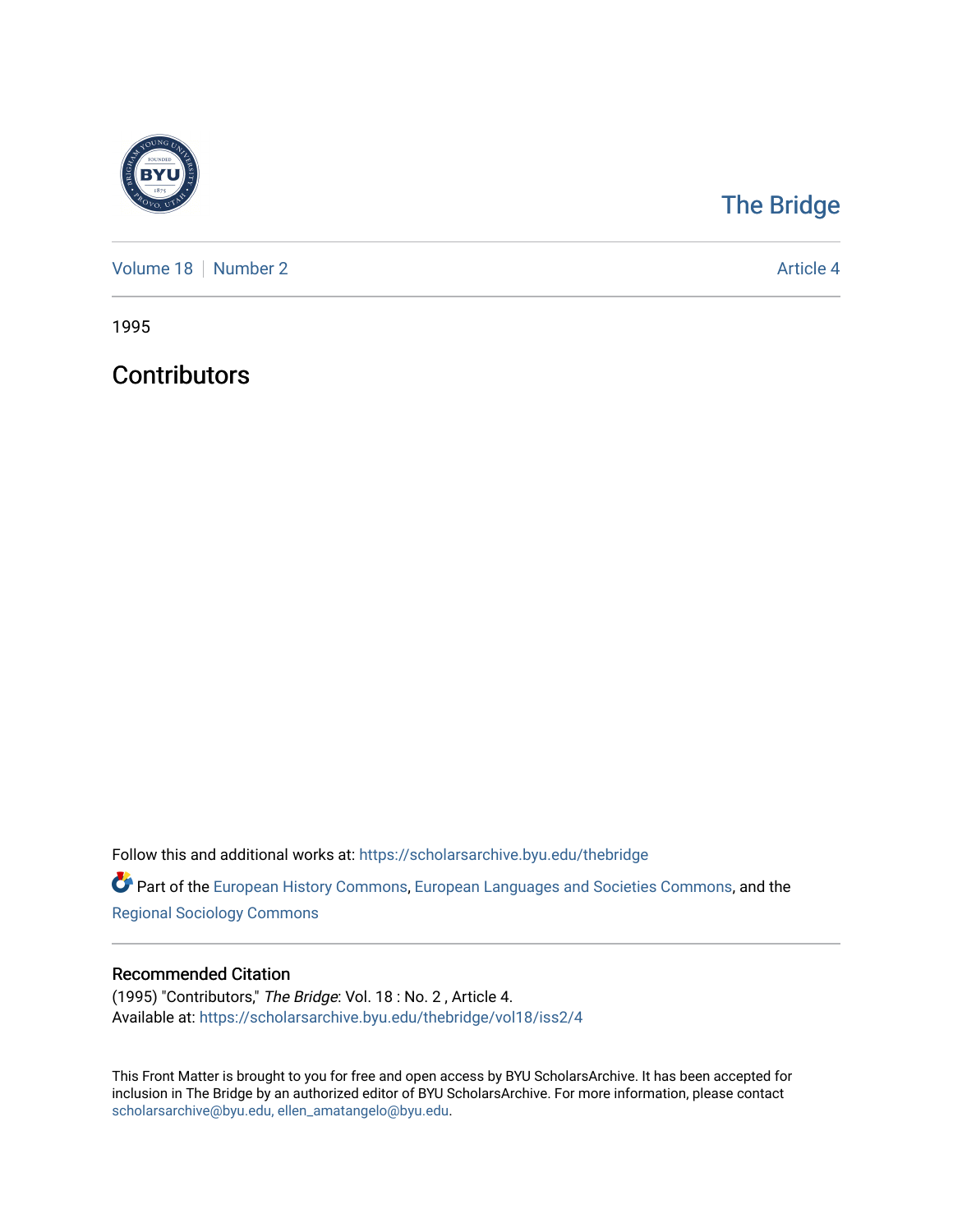

## [The Bridge](https://scholarsarchive.byu.edu/thebridge)

[Volume 18](https://scholarsarchive.byu.edu/thebridge/vol18) [Number 2](https://scholarsarchive.byu.edu/thebridge/vol18/iss2) Article 4

1995

**Contributors** 

Follow this and additional works at: [https://scholarsarchive.byu.edu/thebridge](https://scholarsarchive.byu.edu/thebridge?utm_source=scholarsarchive.byu.edu%2Fthebridge%2Fvol18%2Fiss2%2F4&utm_medium=PDF&utm_campaign=PDFCoverPages) 

**Part of the [European History Commons](http://network.bepress.com/hgg/discipline/492?utm_source=scholarsarchive.byu.edu%2Fthebridge%2Fvol18%2Fiss2%2F4&utm_medium=PDF&utm_campaign=PDFCoverPages), [European Languages and Societies Commons,](http://network.bepress.com/hgg/discipline/482?utm_source=scholarsarchive.byu.edu%2Fthebridge%2Fvol18%2Fiss2%2F4&utm_medium=PDF&utm_campaign=PDFCoverPages) and the** [Regional Sociology Commons](http://network.bepress.com/hgg/discipline/427?utm_source=scholarsarchive.byu.edu%2Fthebridge%2Fvol18%2Fiss2%2F4&utm_medium=PDF&utm_campaign=PDFCoverPages) 

## Recommended Citation

(1995) "Contributors," The Bridge: Vol. 18 : No. 2 , Article 4. Available at: [https://scholarsarchive.byu.edu/thebridge/vol18/iss2/4](https://scholarsarchive.byu.edu/thebridge/vol18/iss2/4?utm_source=scholarsarchive.byu.edu%2Fthebridge%2Fvol18%2Fiss2%2F4&utm_medium=PDF&utm_campaign=PDFCoverPages) 

This Front Matter is brought to you for free and open access by BYU ScholarsArchive. It has been accepted for inclusion in The Bridge by an authorized editor of BYU ScholarsArchive. For more information, please contact [scholarsarchive@byu.edu, ellen\\_amatangelo@byu.edu](mailto:scholarsarchive@byu.edu,%20ellen_amatangelo@byu.edu).